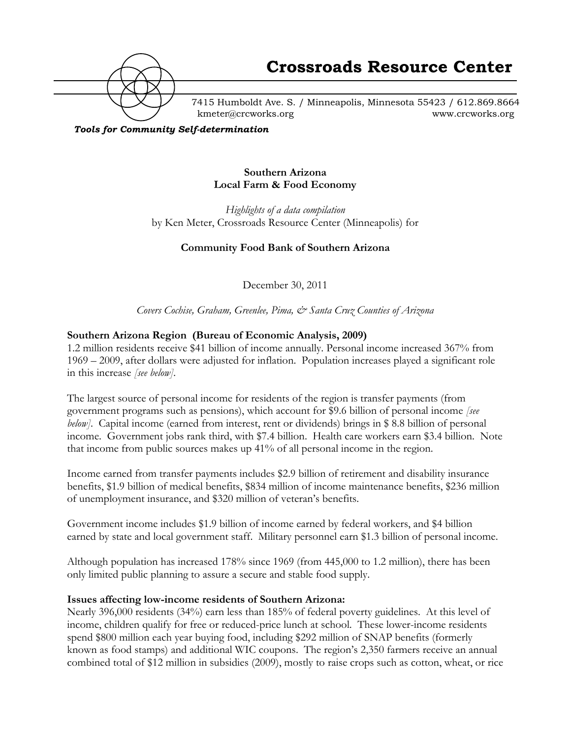

7415 Humboldt Ave. S. / Minneapolis, Minnesota 55423 / 612.869.8664 kmeter@crcworks.org www.crcworks.org

*Tools for Community Self-determination*

#### **Southern Arizona Local Farm & Food Economy**

*Highlights of a data compilation* by Ken Meter, Crossroads Resource Center (Minneapolis) for

### **Community Food Bank of Southern Arizona**

December 30, 2011

*Covers Cochise, Graham, Greenlee, Pima, & Santa Cruz Counties of Arizona*

#### **Southern Arizona Region (Bureau of Economic Analysis, 2009)**

1.2 million residents receive \$41 billion of income annually. Personal income increased 367% from 1969 – 2009, after dollars were adjusted for inflation. Population increases played a significant role in this increase *[see below].*

The largest source of personal income for residents of the region is transfer payments (from government programs such as pensions), which account for \$9.6 billion of personal income *[see below]*. Capital income (earned from interest, rent or dividends) brings in \$ 8.8 billion of personal income. Government jobs rank third, with \$7.4 billion. Health care workers earn \$3.4 billion. Note that income from public sources makes up 41% of all personal income in the region.

Income earned from transfer payments includes \$2.9 billion of retirement and disability insurance benefits, \$1.9 billion of medical benefits, \$834 million of income maintenance benefits, \$236 million of unemployment insurance, and \$320 million of veteran's benefits.

Government income includes \$1.9 billion of income earned by federal workers, and \$4 billion earned by state and local government staff. Military personnel earn \$1.3 billion of personal income.

Although population has increased 178% since 1969 (from 445,000 to 1.2 million), there has been only limited public planning to assure a secure and stable food supply.

#### **Issues affecting low-income residents of Southern Arizona:**

Nearly 396,000 residents (34%) earn less than 185% of federal poverty guidelines. At this level of income, children qualify for free or reduced-price lunch at school. These lower-income residents spend \$800 million each year buying food, including \$292 million of SNAP benefits (formerly known as food stamps) and additional WIC coupons. The region's 2,350 farmers receive an annual combined total of \$12 million in subsidies (2009), mostly to raise crops such as cotton, wheat, or rice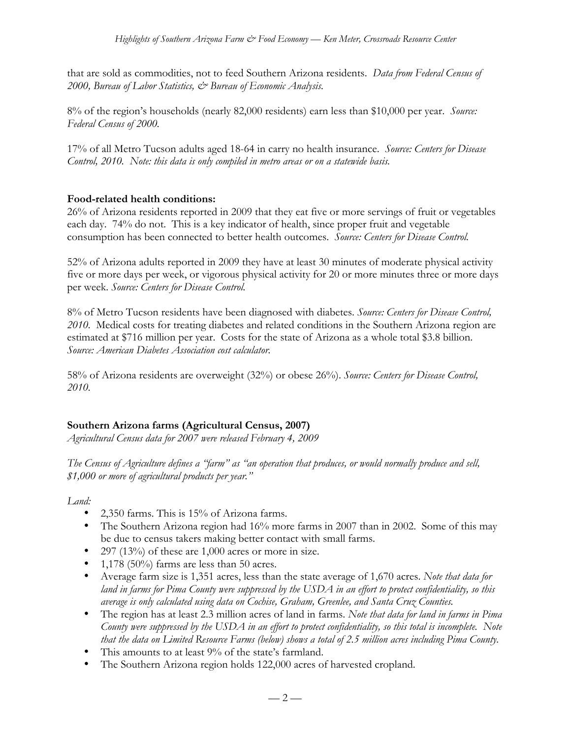that are sold as commodities, not to feed Southern Arizona residents. *Data from Federal Census of 2000, Bureau of Labor Statistics, & Bureau of Economic Analysis.*

8% of the region's households (nearly 82,000 residents) earn less than \$10,000 per year. *Source: Federal Census of 2000.*

17% of all Metro Tucson adults aged 18-64 in carry no health insurance. *Source: Centers for Disease Control, 2010. Note: this data is only compiled in metro areas or on a statewide basis.*

# **Food-related health conditions:**

26% of Arizona residents reported in 2009 that they eat five or more servings of fruit or vegetables each day. 74% do not. This is a key indicator of health, since proper fruit and vegetable consumption has been connected to better health outcomes. *Source: Centers for Disease Control.*

52% of Arizona adults reported in 2009 they have at least 30 minutes of moderate physical activity five or more days per week, or vigorous physical activity for 20 or more minutes three or more days per week. *Source: Centers for Disease Control.*

8% of Metro Tucson residents have been diagnosed with diabetes. *Source: Centers for Disease Control, 2010.* Medical costs for treating diabetes and related conditions in the Southern Arizona region are estimated at \$716 million per year. Costs for the state of Arizona as a whole total \$3.8 billion. *Source: American Diabetes Association cost calculator.*

58% of Arizona residents are overweight (32%) or obese 26%). *Source: Centers for Disease Control, 2010.*

# **Southern Arizona farms (Agricultural Census, 2007)**

*Agricultural Census data for 2007 were released February 4, 2009*

*The Census of Agriculture defines a "farm" as "an operation that produces, or would normally produce and sell, \$1,000 or more of agricultural products per year."*

*Land:*

- 2,350 farms. This is 15% of Arizona farms.
- The Southern Arizona region had 16% more farms in 2007 than in 2002. Some of this may be due to census takers making better contact with small farms.
- 297 (13%) of these are 1,000 acres or more in size.
- 1,178 (50%) farms are less than 50 acres.
- Average farm size is 1,351 acres, less than the state average of 1,670 acres. *Note that data for land in farms for Pima County were suppressed by the USDA in an effort to protect confidentiality, so this average is only calculated using data on Cochise, Graham, Greenlee, and Santa Cruz Counties.*
- The region has at least 2.3 million acres of land in farms. *Note that data for land in farms in Pima County were suppressed by the USDA in an effort to protect confidentiality, so this total is incomplete. Note that the data on Limited Resource Farms (below) shows a total of 2.5 million acres including Pima County.*
- This amounts to at least 9% of the state's farmland.
- The Southern Arizona region holds 122,000 acres of harvested cropland.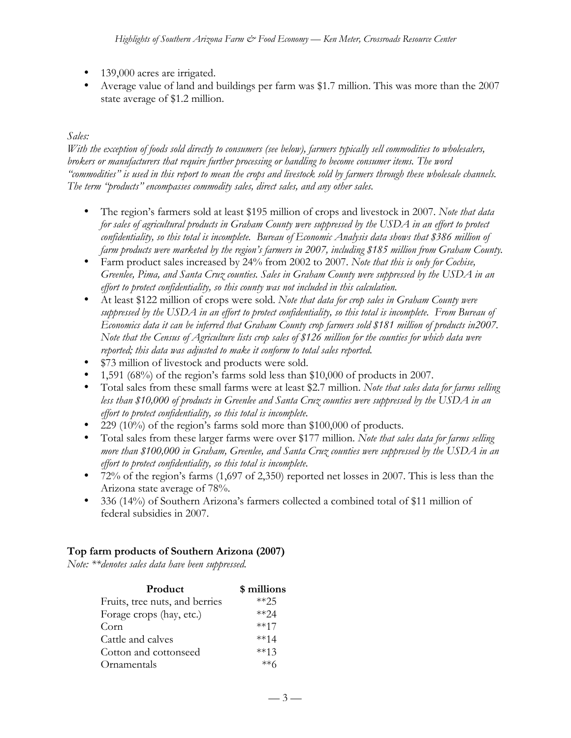- 139,000 acres are irrigated.
- Average value of land and buildings per farm was \$1.7 million. This was more than the 2007 state average of \$1.2 million.

# *Sales:*

*With the exception of foods sold directly to consumers (see below), farmers typically sell commodities to wholesalers, brokers or manufacturers that require further processing or handling to become consumer items. The word "commodities" is used in this report to mean the crops and livestock sold by farmers through these wholesale channels. The term "products" encompasses commodity sales, direct sales, and any other sales.*

- The region's farmers sold at least \$195 million of crops and livestock in 2007. *Note that data for sales of agricultural products in Graham County were suppressed by the USDA in an effort to protect confidentiality, so this total is incomplete. Bureau of Economic Analysis data shows that \$386 million of farm products were marketed by the region's farmers in 2007, including \$185 million from Graham County.*
- Farm product sales increased by 24% from 2002 to 2007. *Note that this is only for Cochise, Greenlee, Pima, and Santa Cruz counties. Sales in Graham County were suppressed by the USDA in an effort to protect confidentiality, so this county was not included in this calculation.*
- At least \$122 million of crops were sold. *Note that data for crop sales in Graham County were suppressed by the USDA in an effort to protect confidentiality, so this total is incomplete. From Bureau of Economics data it can be inferred that Graham County crop farmers sold \$181 million of products in2007. Note that the Census of Agriculture lists crop sales of \$126 million for the counties for which data were reported; this data was adjusted to make it conform to total sales reported.*
- \$73 million of livestock and products were sold.
- 1,591 (68%) of the region's farms sold less than \$10,000 of products in 2007.
- Total sales from these small farms were at least \$2.7 million. *Note that sales data for farms selling less than \$10,000 of products in Greenlee and Santa Cruz counties were suppressed by the USDA in an effort to protect confidentiality, so this total is incomplete.*
- 229 (10%) of the region's farms sold more than \$100,000 of products.
- Total sales from these larger farms were over \$177 million. *Note that sales data for farms selling more than \$100,000 in Graham, Greenlee, and Santa Cruz counties were suppressed by the USDA in an effort to protect confidentiality, so this total is incomplete.*
- 72% of the region's farms (1,697 of 2,350) reported net losses in 2007. This is less than the Arizona state average of 78%.
- 336 (14%) of Southern Arizona's farmers collected a combined total of \$11 million of federal subsidies in 2007.

### **Top farm products of Southern Arizona (2007)**

*Note: \*\*denotes sales data have been suppressed.*

| Product                        | \$ millions |
|--------------------------------|-------------|
| Fruits, tree nuts, and berries | $**25$      |
| Forage crops (hay, etc.)       | $**24$      |
| Corn                           | $***17$     |
| Cattle and calves              | $***14$     |
| Cotton and cottonseed          | $***13$     |
| Ornamentals                    | **հ         |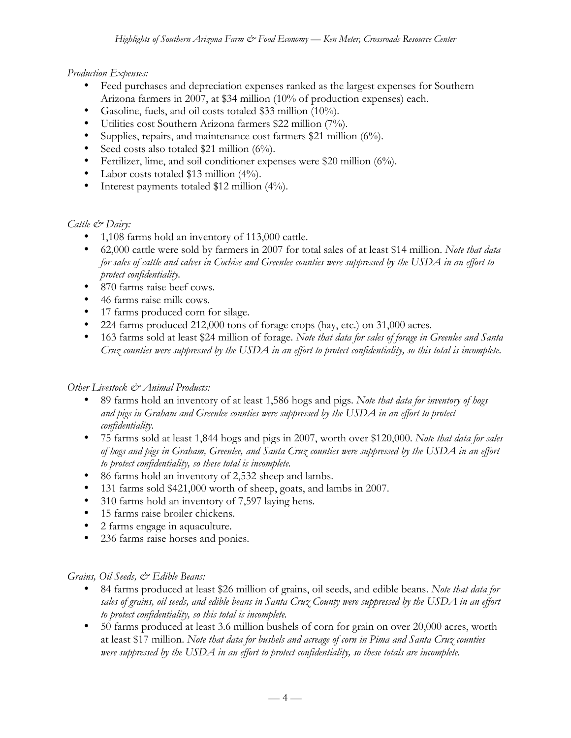### *Production Expenses:*

- Feed purchases and depreciation expenses ranked as the largest expenses for Southern Arizona farmers in 2007, at \$34 million (10% of production expenses) each.
- Gasoline, fuels, and oil costs totaled \$33 million (10%).
- Utilities cost Southern Arizona farmers \$22 million (7%).
- Supplies, repairs, and maintenance cost farmers \$21 million (6%).
- Seed costs also totaled \$21 million (6%).
- Fertilizer, lime, and soil conditioner expenses were \$20 million (6%).
- Labor costs totaled \$13 million (4%).
- Interest payments totaled \$12 million (4%).

### *Cattle & Dairy:*

- 1,108 farms hold an inventory of 113,000 cattle.
- 62,000 cattle were sold by farmers in 2007 for total sales of at least \$14 million. *Note that data for sales of cattle and calves in Cochise and Greenlee counties were suppressed by the USDA in an effort to protect confidentiality.*
- 870 farms raise beef cows.
- 46 farms raise milk cows.
- 17 farms produced corn for silage.
- 224 farms produced 212,000 tons of forage crops (hay, etc.) on 31,000 acres.
- 163 farms sold at least \$24 million of forage. *Note that data for sales of forage in Greenlee and Santa Cruz counties were suppressed by the USDA in an effort to protect confidentiality, so this total is incomplete.*

### *Other Livestock & Animal Products:*

- 89 farms hold an inventory of at least 1,586 hogs and pigs. *Note that data for inventory of hogs and pigs in Graham and Greenlee counties were suppressed by the USDA in an effort to protect confidentiality.*
- 75 farms sold at least 1,844 hogs and pigs in 2007, worth over \$120,000. *Note that data for sales of hogs and pigs in Graham, Greenlee, and Santa Cruz counties were suppressed by the USDA in an effort to protect confidentiality, so these total is incomplete.*
- 86 farms hold an inventory of 2,532 sheep and lambs.
- 131 farms sold \$421,000 worth of sheep, goats, and lambs in 2007.
- 310 farms hold an inventory of 7,597 laying hens*.*
- 15 farms raise broiler chickens.
- 2 farms engage in aquaculture.
- 236 farms raise horses and ponies.

### *Grains, Oil Seeds, & Edible Beans:*

- 84 farms produced at least \$26 million of grains, oil seeds, and edible beans. *Note that data for sales of grains, oil seeds, and edible beans in Santa Cruz County were suppressed by the USDA in an effort to protect confidentiality, so this total is incomplete.*
- 50 farms produced at least 3.6 million bushels of corn for grain on over 20,000 acres, worth at least \$17 million. *Note that data for bushels and acreage of corn in Pima and Santa Cruz counties were suppressed by the USDA in an effort to protect confidentiality, so these totals are incomplete.*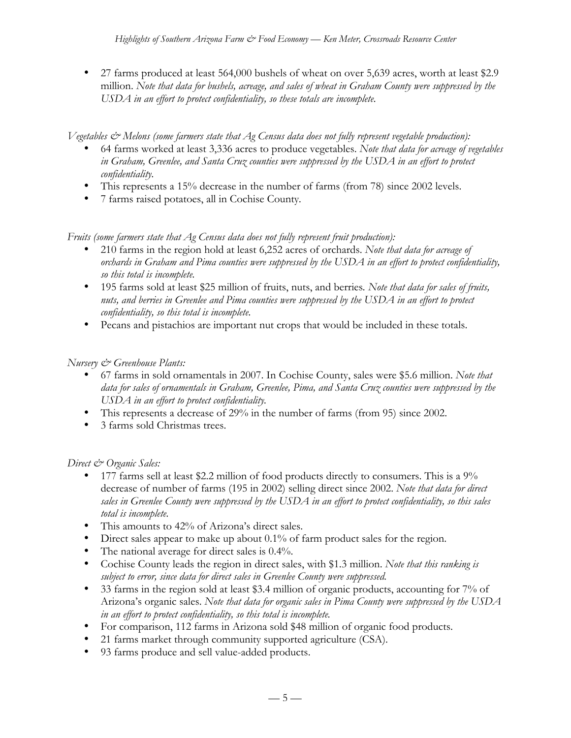• 27 farms produced at least 564,000 bushels of wheat on over 5,639 acres, worth at least \$2.9 million. *Note that data for bushels, acreage, and sales of wheat in Graham County were suppressed by the USDA in an effort to protect confidentiality, so these totals are incomplete.*

*Vegetables & Melons (some farmers state that Ag Census data does not fully represent vegetable production):*

- 64 farms worked at least 3,336 acres to produce vegetables. *Note that data for acreage of vegetables in Graham, Greenlee, and Santa Cruz counties were suppressed by the USDA in an effort to protect confidentiality.*
- This represents a 15% decrease in the number of farms (from 78) since 2002 levels.
- 7 farms raised potatoes, all in Cochise County*.*

*Fruits (some farmers state that Ag Census data does not fully represent fruit production):*

- 210 farms in the region hold at least 6,252 acres of orchards. *Note that data for acreage of orchards in Graham and Pima counties were suppressed by the USDA in an effort to protect confidentiality, so this total is incomplete.*
- 195 farms sold at least \$25 million of fruits, nuts, and berries*. Note that data for sales of fruits, nuts, and berries in Greenlee and Pima counties were suppressed by the USDA in an effort to protect confidentiality, so this total is incomplete.*
- Pecans and pistachios are important nut crops that would be included in these totals.

# *Nursery & Greenhouse Plants:*

- 67 farms in sold ornamentals in 2007. In Cochise County, sales were \$5.6 million. *Note that data for sales of ornamentals in Graham, Greenlee, Pima, and Santa Cruz counties were suppressed by the USDA in an effort to protect confidentiality.*
- This represents a decrease of 29% in the number of farms (from 95) since 2002.
- 3 farms sold Christmas trees.

### *Direct & Organic Sales:*

- 177 farms sell at least \$2.2 million of food products directly to consumers. This is a 9% decrease of number of farms (195 in 2002) selling direct since 2002. *Note that data for direct sales in Greenlee County were suppressed by the USDA in an effort to protect confidentiality, so this sales total is incomplete.*
- This amounts to 42% of Arizona's direct sales.
- Direct sales appear to make up about 0.1% of farm product sales for the region.
- The national average for direct sales is 0.4%.
- Cochise County leads the region in direct sales, with \$1.3 million. *Note that this ranking is subject to error, since data for direct sales in Greenlee County were suppressed.*
- 33 farms in the region sold at least \$3.4 million of organic products, accounting for 7% of Arizona's organic sales. *Note that data for organic sales in Pima County were suppressed by the USDA in an effort to protect confidentiality, so this total is incomplete.*
- For comparison, 112 farms in Arizona sold \$48 million of organic food products.
- 21 farms market through community supported agriculture (CSA).
- 93 farms produce and sell value-added products.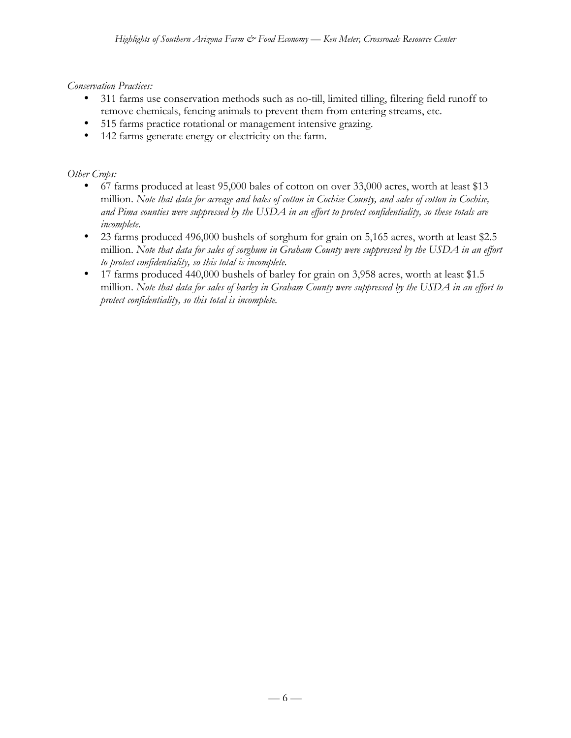### *Conservation Practices:*

- 311 farms use conservation methods such as no-till, limited tilling, filtering field runoff to remove chemicals, fencing animals to prevent them from entering streams, etc.
- 515 farms practice rotational or management intensive grazing.
- 142 farms generate energy or electricity on the farm.

### *Other Crops:*

- 67 farms produced at least 95,000 bales of cotton on over 33,000 acres, worth at least \$13 million. *Note that data for acreage and bales of cotton in Cochise County, and sales of cotton in Cochise, and Pima counties were suppressed by the USDA in an effort to protect confidentiality, so these totals are incomplete.*
- 23 farms produced 496,000 bushels of sorghum for grain on 5,165 acres, worth at least \$2.5 million. *Note that data for sales of sorghum in Graham County were suppressed by the USDA in an effort to protect confidentiality, so this total is incomplete.*
- 17 farms produced 440,000 bushels of barley for grain on 3,958 acres, worth at least \$1.5 million. *Note that data for sales of barley in Graham County were suppressed by the USDA in an effort to protect confidentiality, so this total is incomplete.*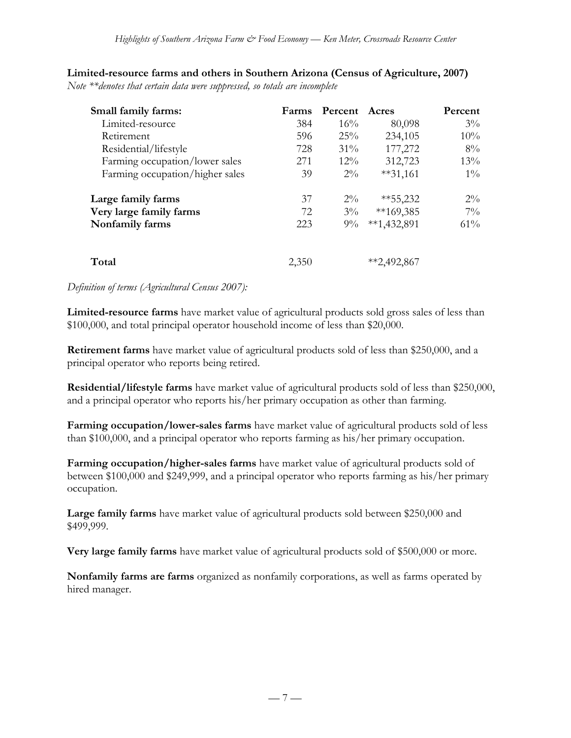# **Limited-resource farms and others in Southern Arizona (Census of Agriculture, 2007)**

*Note \*\*denotes that certain data were suppressed, so totals are incomplete*

| Small family farms:             | <b>Farms</b> | Percent | Acres        | Percent |
|---------------------------------|--------------|---------|--------------|---------|
| Limited-resource                | 384          | 16%     | 80,098       | $3\%$   |
| Retirement                      | 596          | 25%     | 234,105      | 10%     |
| Residential/lifestyle           | 728          | $31\%$  | 177,272      | 8%      |
| Farming occupation/lower sales  | 271          | $12\%$  | 312,723      | 13%     |
| Farming occupation/higher sales | 39           | $2\%$   | $**31,161$   | $1\%$   |
| Large family farms              | 37           | $2\%$   | $**55,232$   | $2\%$   |
| Very large family farms         | 72           | $3\%$   | $**169,385$  | $7\%$   |
| Nonfamily farms                 | 223          | $9\%$   | $*1,432,891$ | 61%     |
| Total                           | 2,350        |         | **2,492,867  |         |

#### *Definition of terms (Agricultural Census 2007):*

**Limited-resource farms** have market value of agricultural products sold gross sales of less than \$100,000, and total principal operator household income of less than \$20,000.

**Retirement farms** have market value of agricultural products sold of less than \$250,000, and a principal operator who reports being retired.

**Residential/lifestyle farms** have market value of agricultural products sold of less than \$250,000, and a principal operator who reports his/her primary occupation as other than farming.

**Farming occupation/lower-sales farms** have market value of agricultural products sold of less than \$100,000, and a principal operator who reports farming as his/her primary occupation.

**Farming occupation/higher-sales farms** have market value of agricultural products sold of between \$100,000 and \$249,999, and a principal operator who reports farming as his/her primary occupation.

**Large family farms** have market value of agricultural products sold between \$250,000 and \$499,999.

**Very large family farms** have market value of agricultural products sold of \$500,000 or more.

**Nonfamily farms are farms** organized as nonfamily corporations, as well as farms operated by hired manager.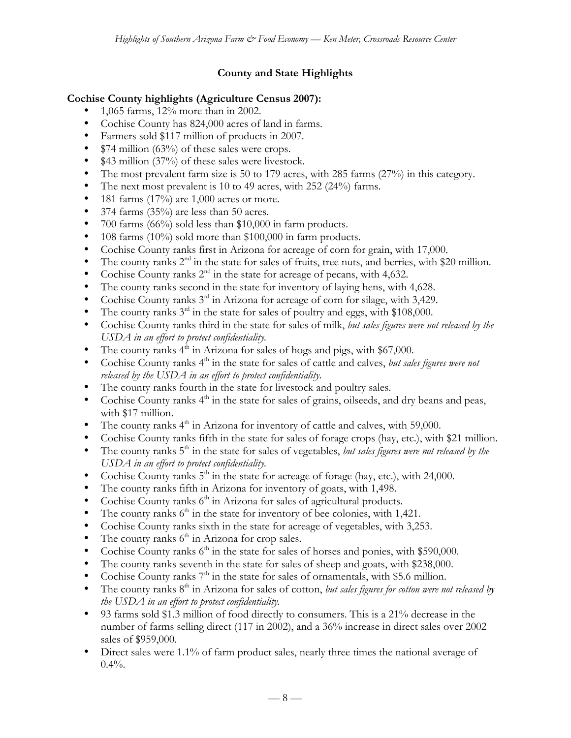# **County and State Highlights**

### **Cochise County highlights (Agriculture Census 2007):**

- 1,065 farms, 12% more than in 2002.
- Cochise County has 824,000 acres of land in farms.
- Farmers sold \$117 million of products in 2007.
- \$74 million (63%) of these sales were crops.
- \$43 million (37%) of these sales were livestock.
- The most prevalent farm size is 50 to 179 acres, with 285 farms (27%) in this category.
- The next most prevalent is 10 to 49 acres, with 252 (24%) farms.
- 181 farms  $(17%)$  are 1,000 acres or more.
- 374 farms (35%) are less than 50 acres.
- 700 farms (66%) sold less than \$10,000 in farm products.
- 108 farms (10%) sold more than \$100,000 in farm products.
- Cochise County ranks first in Arizona for acreage of corn for grain, with 17,000.
- The county ranks  $2<sup>nd</sup>$  in the state for sales of fruits, tree nuts, and berries, with \$20 million.
- Cochise County ranks  $2<sup>nd</sup>$  in the state for acreage of pecans, with 4,632.
- The county ranks second in the state for inventory of laying hens, with 4,628.
- Cochise County ranks  $3<sup>rd</sup>$  in Arizona for acreage of corn for silage, with 3,429.
- The county ranks  $3^{rd}$  in the state for sales of poultry and eggs, with \$108,000.
- Cochise County ranks third in the state for sales of milk, *but sales figures were not released by the USDA in an effort to protect confidentiality.*
- The county ranks  $4^{\dot{h}}$  in Arizona for sales of hogs and pigs, with \$67,000.
- Cochise County ranks 4<sup>th</sup> in the state for sales of cattle and calves, *but sales figures were not released by the USDA in an effort to protect confidentiality.*
- The county ranks fourth in the state for livestock and poultry sales.
- Cochise County ranks  $4<sup>th</sup>$  in the state for sales of grains, oilseeds, and dry beans and peas, with \$17 million.
- The county ranks  $4<sup>th</sup>$  in Arizona for inventory of cattle and calves, with 59,000.
- Cochise County ranks fifth in the state for sales of forage crops (hay, etc.), with \$21 million.
- The county ranks 5<sup>th</sup> in the state for sales of vegetables, *but sales figures were not released by the USDA in an effort to protect confidentiality.*
- Cochise County ranks  $5<sup>th</sup>$  in the state for acreage of forage (hay, etc.), with 24,000.
- The county ranks fifth in Arizona for inventory of goats, with 1,498.
- Cochise County ranks  $6<sup>th</sup>$  in Arizona for sales of agricultural products.
- The county ranks  $6<sup>th</sup>$  in the state for inventory of bee colonies, with 1,421.
- Cochise County ranks sixth in the state for acreage of vegetables, with 3,253.
- The county ranks  $6<sup>th</sup>$  in Arizona for crop sales.
- Cochise County ranks  $6<sup>th</sup>$  in the state for sales of horses and ponies, with \$590,000.
- The county ranks seventh in the state for sales of sheep and goats, with \$238,000.
- Cochise County ranks  $7<sup>th</sup>$  in the state for sales of ornamentals, with \$5.6 million.
- The county ranks 8<sup>th</sup> in Arizona for sales of cotton, *but sales figures for cotton were not released by the USDA in an effort to protect confidentiality.*
- 93 farms sold \$1.3 million of food directly to consumers. This is a 21% decrease in the number of farms selling direct (117 in 2002), and a 36% increase in direct sales over 2002 sales of \$959,000.
- Direct sales were 1.1% of farm product sales, nearly three times the national average of  $0.4\%$ .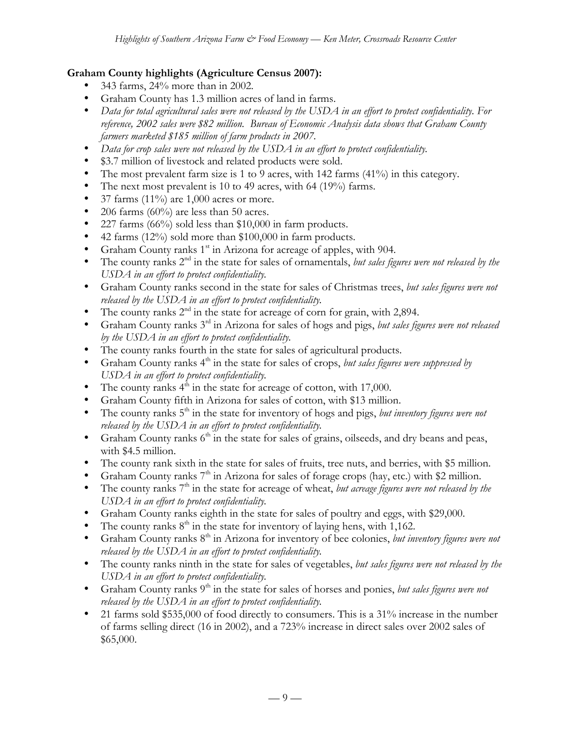### **Graham County highlights (Agriculture Census 2007):**

- 343 farms, 24% more than in 2002.
- Graham County has 1.3 million acres of land in farms.
- *Data for total agricultural sales were not released by the USDA in an effort to protect confidentiality. For reference, 2002 sales were \$82 million. Bureau of Economic Analysis data shows that Graham County farmers marketed \$185 million of farm products in 2007.*
- *Data for crop sales were not released by the USDA in an effort to protect confidentiality.*
- \$3.7 million of livestock and related products were sold.
- The most prevalent farm size is 1 to 9 acres, with 142 farms (41%) in this category.
- The next most prevalent is 10 to 49 acres, with 64 (19%) farms.
- 37 farms  $(11\%)$  are 1,000 acres or more.
- 206 farms  $(60\%)$  are less than 50 acres.
- 227 farms (66%) sold less than \$10,000 in farm products.
- 42 farms  $(12\%)$  sold more than \$100,000 in farm products.
- Graham County ranks  $1<sup>st</sup>$  in Arizona for acreage of apples, with 904.
- The county ranks 2<sup>nd</sup> in the state for sales of ornamentals, *but sales figures were not released by the USDA in an effort to protect confidentiality.*
- Graham County ranks second in the state for sales of Christmas trees, *but sales figures were not released by the USDA in an effort to protect confidentiality.*
- The county ranks  $2<sup>nd</sup>$  in the state for acreage of corn for grain, with 2,894.
- Graham County ranks 3rd in Arizona for sales of hogs and pigs, *but sales figures were not released by the USDA in an effort to protect confidentiality.*
- The county ranks fourth in the state for sales of agricultural products.
- Graham County ranks 4<sup>th</sup> in the state for sales of crops, *but sales figures were suppressed by USDA in an effort to protect confidentiality.*
- The county ranks  $4<sup>th</sup>$  in the state for acreage of cotton, with 17,000.
- Graham County fifth in Arizona for sales of cotton, with \$13 million.
- The county ranks 5<sup>th</sup> in the state for inventory of hogs and pigs, *but inventory figures were not released by the USDA in an effort to protect confidentiality.*
- Graham County ranks  $6<sup>th</sup>$  in the state for sales of grains, oilseeds, and dry beans and peas, with \$4.5 million.
- The county rank sixth in the state for sales of fruits, tree nuts, and berries, with \$5 million.
- Graham County ranks  $7<sup>th</sup>$  in Arizona for sales of forage crops (hay, etc.) with \$2 million.
- The county ranks 7<sup>th</sup> in the state for acreage of wheat, *but acreage figures were not released by the USDA in an effort to protect confidentiality.*
- Graham County ranks eighth in the state for sales of poultry and eggs, with \$29,000.
- The county ranks  $8<sup>th</sup>$  in the state for inventory of laying hens, with 1,162.
- Graham County ranks 8<sup>th</sup> in Arizona for inventory of bee colonies, *but inventory figures were not released by the USDA in an effort to protect confidentiality.*
- The county ranks ninth in the state for sales of vegetables, *but sales figures were not released by the USDA in an effort to protect confidentiality.*
- Graham County ranks 9<sup>th</sup> in the state for sales of horses and ponies, *but sales figures were not released by the USDA in an effort to protect confidentiality.*
- 21 farms sold \$535,000 of food directly to consumers. This is a 31% increase in the number of farms selling direct (16 in 2002), and a 723% increase in direct sales over 2002 sales of \$65,000.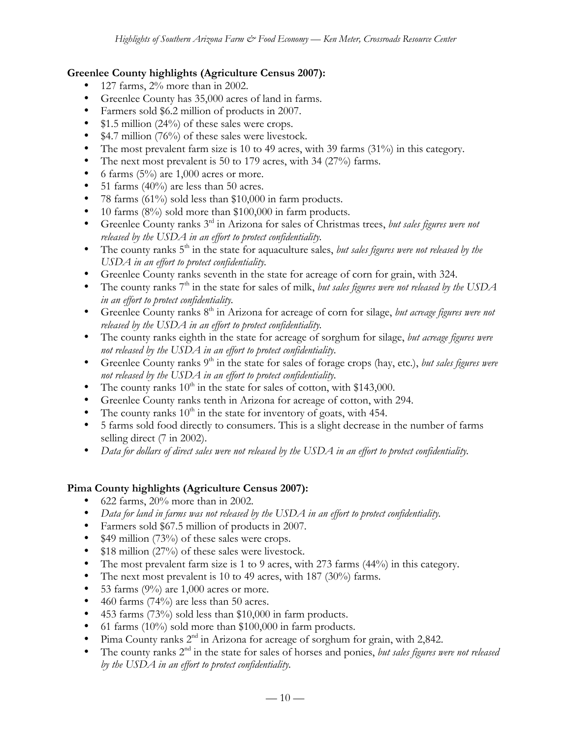### **Greenlee County highlights (Agriculture Census 2007):**

- 127 farms, 2% more than in 2002.
- Greenlee County has 35,000 acres of land in farms.
- Farmers sold \$6.2 million of products in 2007.
- \$1.5 million (24%) of these sales were crops.
- \$4.7 million (76%) of these sales were livestock.
- The most prevalent farm size is 10 to 49 acres, with 39 farms (31%) in this category.
- The next most prevalent is 50 to 179 acres, with 34 (27%) farms.
- 6 farms  $(5\%)$  are 1,000 acres or more.
- 51 farms  $(40\%)$  are less than 50 acres.
- 78 farms (61%) sold less than \$10,000 in farm products.
- 10 farms (8%) sold more than \$100,000 in farm products.
- Greenlee County ranks 3rd in Arizona for sales of Christmas trees, *but sales figures were not released by the USDA in an effort to protect confidentiality.*
- The county ranks 5<sup>th</sup> in the state for aquaculture sales, *but sales figures were not released by the USDA in an effort to protect confidentiality.*
- Greenlee County ranks seventh in the state for acreage of corn for grain, with 324.
- The county ranks 7<sup>th</sup> in the state for sales of milk, *but sales figures were not released by the USDA in an effort to protect confidentiality.*
- Greenlee County ranks 8<sup>th</sup> in Arizona for acreage of corn for silage, *but acreage figures were not released by the USDA in an effort to protect confidentiality.*
- The county ranks eighth in the state for acreage of sorghum for silage, *but acreage figures were not released by the USDA in an effort to protect confidentiality.*
- Greenlee County ranks 9<sup>th</sup> in the state for sales of forage crops (hay, etc.), *but sales figures were not released by the USDA in an effort to protect confidentiality.*
- The county ranks  $10^{th}$  in the state for sales of cotton, with \$143,000.
- Greenlee County ranks tenth in Arizona for acreage of cotton, with 294.
- The county ranks  $10^{\text{th}}$  in the state for inventory of goats, with 454.
- 5 farms sold food directly to consumers. This is a slight decrease in the number of farms selling direct (7 in 2002).
- *Data for dollars of direct sales were not released by the USDA in an effort to protect confidentiality.*

#### **Pima County highlights (Agriculture Census 2007):**

- 622 farms, 20% more than in 2002.
- *Data for land in farms was not released by the USDA in an effort to protect confidentiality.*
- Farmers sold \$67.5 million of products in 2007.
- \$49 million (73%) of these sales were crops.
- \$18 million (27%) of these sales were livestock.
- The most prevalent farm size is 1 to 9 acres, with 273 farms (44%) in this category.
- The next most prevalent is 10 to 49 acres, with 187 (30%) farms.
- 53 farms  $(9\%)$  are 1,000 acres or more.
- 460 farms  $(74%)$  are less than 50 acres.
- 453 farms (73%) sold less than \$10,000 in farm products.
- 61 farms (10%) sold more than \$100,000 in farm products.
- Pima County ranks  $2^{nd}$  in Arizona for acreage of sorghum for grain, with 2,842.<br>• The county ranks  $2^{nd}$  in the state for sales of horses and popies *but sales figures* m.
- The county ranks 2<sup>nd</sup> in the state for sales of horses and ponies, *but sales figures were not released by the USDA in an effort to protect confidentiality.*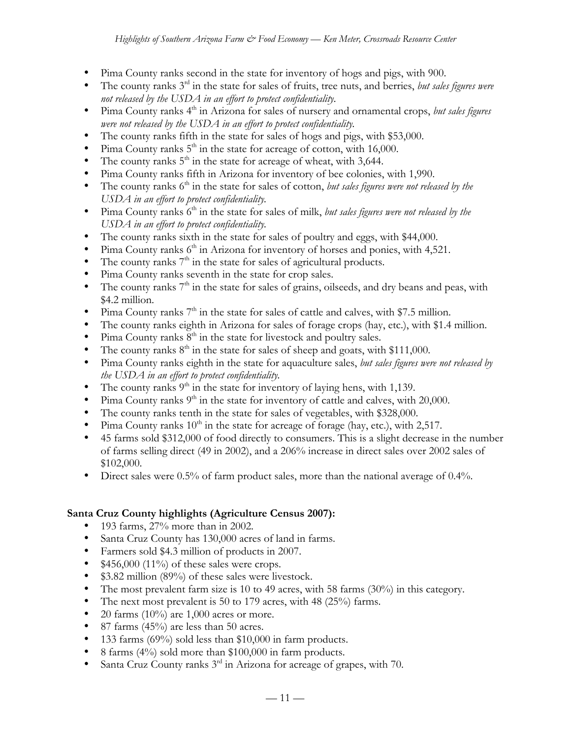- Pima County ranks second in the state for inventory of hogs and pigs, with 900.
- The county ranks 3rd in the state for sales of fruits, tree nuts, and berries, *but sales figures were not released by the USDA in an effort to protect confidentiality.*
- Pima County ranks 4<sup>th</sup> in Arizona for sales of nursery and ornamental crops, *but sales figures were not released by the USDA in an effort to protect confidentiality.*
- The county ranks fifth in the state for sales of hogs and pigs, with \$53,000.
- Pima County ranks  $5<sup>th</sup>$  in the state for acreage of cotton, with 16,000.
- The county ranks  $5<sup>th</sup>$  in the state for acreage of wheat, with 3,644.
- Pima County ranks fifth in Arizona for inventory of bee colonies, with 1,990.
- The county ranks 6<sup>th</sup> in the state for sales of cotton, *but sales figures were not released by the USDA in an effort to protect confidentiality.*
- Pima County ranks 6<sup>th</sup> in the state for sales of milk, *but sales figures were not released by the USDA in an effort to protect confidentiality.*
- The county ranks sixth in the state for sales of poultry and eggs, with \$44,000.
- Pima County ranks  $6<sup>th</sup>$  in Arizona for inventory of horses and ponies, with 4,521.
- The county ranks  $7<sup>th</sup>$  in the state for sales of agricultural products.
- Pima County ranks seventh in the state for crop sales.
- The county ranks  $7<sup>th</sup>$  in the state for sales of grains, oilseeds, and dry beans and peas, with \$4.2 million.
- Pima County ranks  $7<sup>th</sup>$  in the state for sales of cattle and calves, with \$7.5 million.
- The county ranks eighth in Arizona for sales of forage crops (hay, etc.), with \$1.4 million.
- Pima County ranks  $8<sup>th</sup>$  in the state for livestock and poultry sales.
- The county ranks  $8<sup>th</sup>$  in the state for sales of sheep and goats, with \$111,000.
- Pima County ranks eighth in the state for aquaculture sales, *but sales figures were not released by the USDA in an effort to protect confidentiality.*
- The county ranks  $9<sup>th</sup>$  in the state for inventory of laying hens, with 1,139.
- Pima County ranks  $9<sup>th</sup>$  in the state for inventory of cattle and calves, with 20,000.
- The county ranks tenth in the state for sales of vegetables, with \$328,000.
- Pima County ranks  $10^{th}$  in the state for acreage of forage (hay, etc.), with 2,517.
- 45 farms sold \$312,000 of food directly to consumers. This is a slight decrease in the number of farms selling direct (49 in 2002), and a 206% increase in direct sales over 2002 sales of \$102,000.
- Direct sales were 0.5% of farm product sales, more than the national average of 0.4%.

### **Santa Cruz County highlights (Agriculture Census 2007):**

- 193 farms, 27% more than in 2002.
- Santa Cruz County has 130,000 acres of land in farms.
- Farmers sold \$4.3 million of products in 2007.
- $$456,000$  (11%) of these sales were crops.
- \$3.82 million (89%) of these sales were livestock.
- The most prevalent farm size is 10 to 49 acres, with 58 farms (30%) in this category.
- The next most prevalent is 50 to 179 acres, with 48 (25%) farms.
- 20 farms (10%) are 1,000 acres or more.
- 87 farms  $(45%)$  are less than 50 acres.
- 133 farms (69%) sold less than \$10,000 in farm products.
- 8 farms (4%) sold more than \$100,000 in farm products.
- Santa Cruz County ranks 3<sup>rd</sup> in Arizona for acreage of grapes, with 70.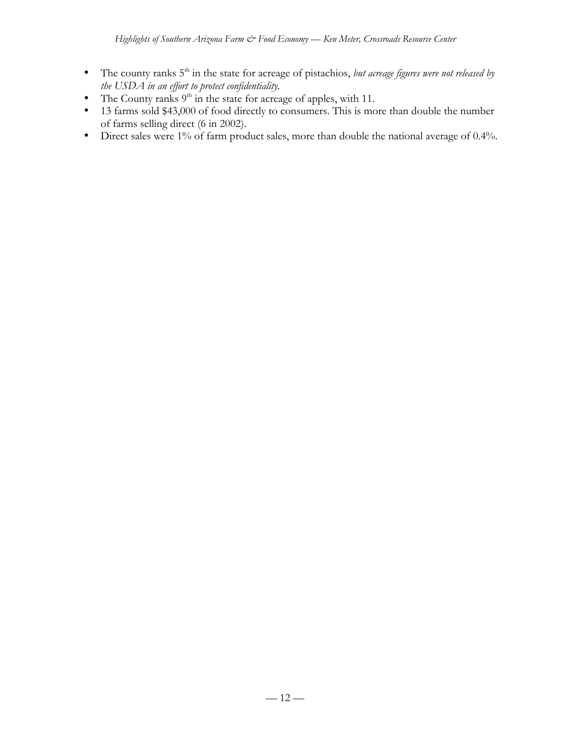- The county ranks 5<sup>th</sup> in the state for acreage of pistachios, *but acreage figures were not released by the USDA in an effort to protect confidentiality.*
- The County ranks  $9<sup>th</sup>$  in the state for acreage of apples, with 11.
- 13 farms sold \$43,000 of food directly to consumers. This is more than double the number of farms selling direct (6 in 2002).
- Direct sales were 1% of farm product sales, more than double the national average of 0.4%.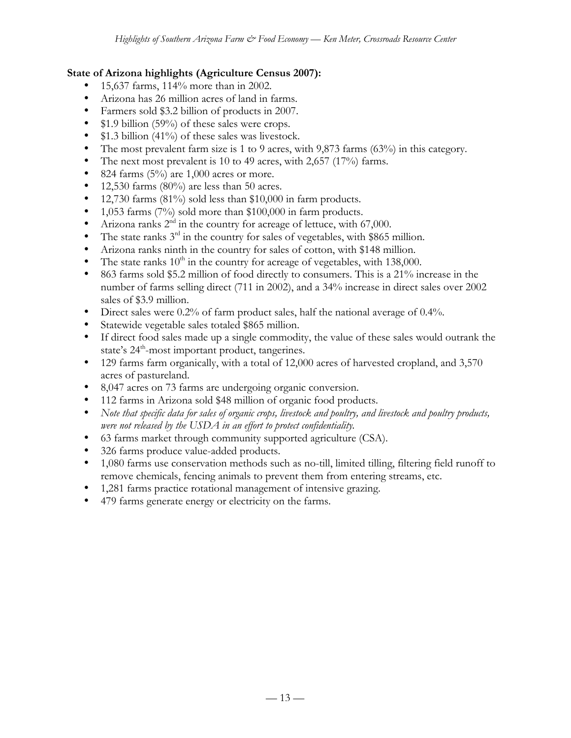### **State of Arizona highlights (Agriculture Census 2007):**

- 15,637 farms, 114% more than in 2002.
- Arizona has 26 million acres of land in farms.
- Farmers sold \$3.2 billion of products in 2007.
- \$1.9 billion (59%) of these sales were crops.
- \$1.3 billion (41%) of these sales was livestock.
- The most prevalent farm size is 1 to 9 acres, with 9,873 farms (63%) in this category.
- The next most prevalent is 10 to 49 acres, with 2,657 (17%) farms.
- 824 farms  $(5\%)$  are 1,000 acres or more.
- 12,530 farms  $(80\%)$  are less than 50 acres.
- 12,730 farms (81%) sold less than \$10,000 in farm products.
- 1,053 farms (7%) sold more than \$100,000 in farm products.
- Arizona ranks  $2<sup>nd</sup>$  in the country for acreage of lettuce, with 67,000.
- The state ranks  $3<sup>rd</sup>$  in the country for sales of vegetables, with \$865 million.
- Arizona ranks ninth in the country for sales of cotton, with \$148 million.
- The state ranks  $10^{th}$  in the country for acreage of vegetables, with 138,000.
- 863 farms sold \$5.2 million of food directly to consumers. This is a 21% increase in the number of farms selling direct (711 in 2002), and a 34% increase in direct sales over 2002 sales of \$3.9 million.
- Direct sales were 0.2% of farm product sales, half the national average of 0.4%.
- Statewide vegetable sales totaled \$865 million.
- If direct food sales made up a single commodity, the value of these sales would outrank the state's 24<sup>th</sup>-most important product, tangerines.
- 129 farms farm organically, with a total of 12,000 acres of harvested cropland, and 3,570 acres of pastureland.
- 8,047 acres on 73 farms are undergoing organic conversion.
- 112 farms in Arizona sold \$48 million of organic food products.
- *Note that specific data for sales of organic crops, livestock and poultry, and livestock and poultry products, were not released by the USDA in an effort to protect confidentiality.*
- 63 farms market through community supported agriculture (CSA).
- 326 farms produce value-added products.
- 1,080 farms use conservation methods such as no-till, limited tilling, filtering field runoff to remove chemicals, fencing animals to prevent them from entering streams, etc.
- 1,281 farms practice rotational management of intensive grazing.
- 479 farms generate energy or electricity on the farms.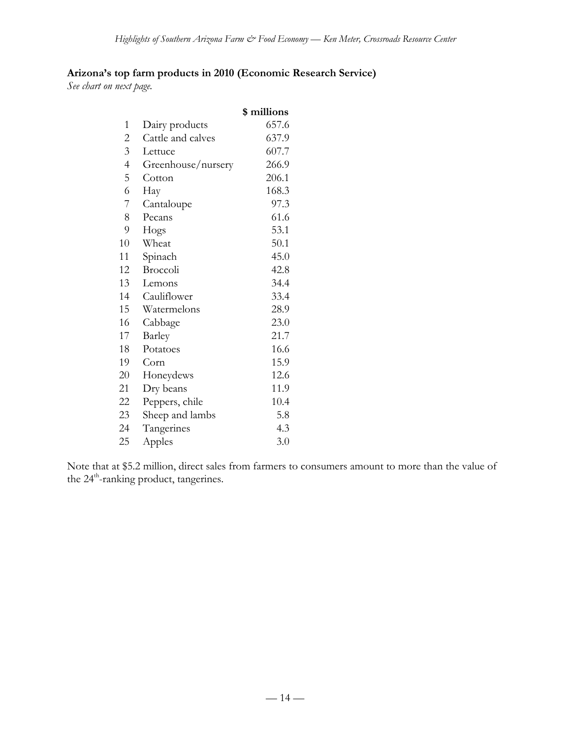# **Arizona's top farm products in 2010 (Economic Research Service)**

*See chart on next page.*

|                |                    | \$ millions |
|----------------|--------------------|-------------|
| $\mathbf{1}$   | Dairy products     | 657.6       |
| $\overline{c}$ | Cattle and calves  | 637.9       |
| $\overline{3}$ | Lettuce            | 607.7       |
| $\overline{4}$ | Greenhouse/nursery | 266.9       |
| 5              | Cotton             | 206.1       |
| 6              | Hay                | 168.3       |
| 7              | Cantaloupe         | 97.3        |
| 8              | Pecans             | 61.6        |
| 9              | Hogs               | 53.1        |
| 10             | Wheat              | 50.1        |
| 11             | Spinach            | 45.0        |
| 12             | Broccoli           | 42.8        |
| 13             | Lemons             | 34.4        |
| 14             | Cauliflower        | 33.4        |
| 15             | Watermelons        | 28.9        |
| 16             | Cabbage            | 23.0        |
| 17             | Barley             | 21.7        |
| 18             | Potatoes           | 16.6        |
| 19             | Corn               | 15.9        |
| 20             | Honeydews          | 12.6        |
| 21             | Dry beans          | 11.9        |
| 22             | Peppers, chile     | 10.4        |
| 23             | Sheep and lambs    | 5.8         |
| 24             | Tangerines         | 4.3         |
| 25             | Apples             | 3.0         |
|                |                    |             |

Note that at \$5.2 million, direct sales from farmers to consumers amount to more than the value of the 24<sup>th</sup>-ranking product, tangerines.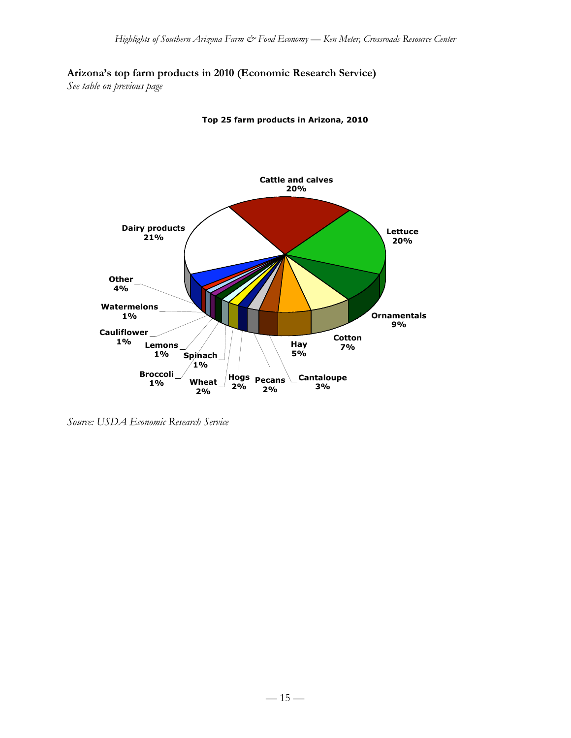### **Arizona's top farm products in 2010 (Economic Research Service)**

*See table on previous page*



**Top 25 farm products in Arizona, 2010**

*Source: USDA Economic Research Service*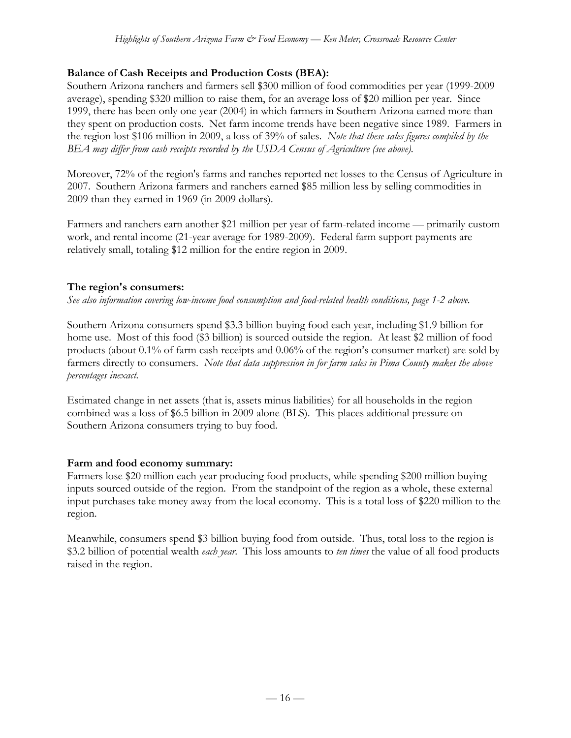# **Balance of Cash Receipts and Production Costs (BEA):**

Southern Arizona ranchers and farmers sell \$300 million of food commodities per year (1999-2009 average), spending \$320 million to raise them, for an average loss of \$20 million per year. Since 1999, there has been only one year (2004) in which farmers in Southern Arizona earned more than they spent on production costs. Net farm income trends have been negative since 1989. Farmers in the region lost \$106 million in 2009, a loss of 39% of sales. *Note that these sales figures compiled by the BEA may differ from cash receipts recorded by the USDA Census of Agriculture (see above).*

Moreover, 72% of the region's farms and ranches reported net losses to the Census of Agriculture in 2007. Southern Arizona farmers and ranchers earned \$85 million less by selling commodities in 2009 than they earned in 1969 (in 2009 dollars).

Farmers and ranchers earn another \$21 million per year of farm-related income — primarily custom work, and rental income (21-year average for 1989-2009). Federal farm support payments are relatively small, totaling \$12 million for the entire region in 2009.

# **The region's consumers:**

*See also information covering low-income food consumption and food-related health conditions, page 1-2 above.*

Southern Arizona consumers spend \$3.3 billion buying food each year, including \$1.9 billion for home use. Most of this food (\$3 billion) is sourced outside the region. At least \$2 million of food products (about 0.1% of farm cash receipts and 0.06% of the region's consumer market) are sold by farmers directly to consumers. *Note that data suppression in for farm sales in Pima County makes the above percentages inexact.*

Estimated change in net assets (that is, assets minus liabilities) for all households in the region combined was a loss of \$6.5 billion in 2009 alone (BLS). This places additional pressure on Southern Arizona consumers trying to buy food.

### **Farm and food economy summary:**

Farmers lose \$20 million each year producing food products, while spending \$200 million buying inputs sourced outside of the region. From the standpoint of the region as a whole, these external input purchases take money away from the local economy. This is a total loss of \$220 million to the region.

Meanwhile, consumers spend \$3 billion buying food from outside. Thus, total loss to the region is \$3.2 billion of potential wealth *each year*. This loss amounts to *ten times* the value of all food products raised in the region.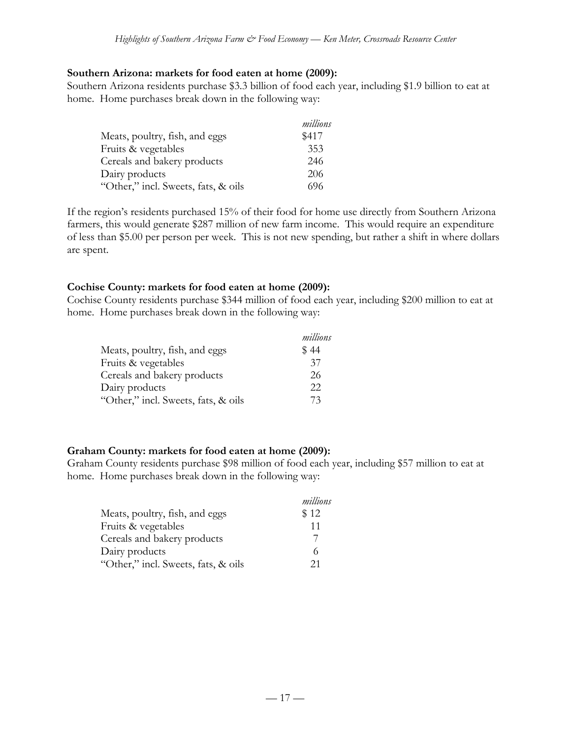#### **Southern Arizona: markets for food eaten at home (2009):**

Southern Arizona residents purchase \$3.3 billion of food each year, including \$1.9 billion to eat at home. Home purchases break down in the following way:

|                                     | millions |
|-------------------------------------|----------|
| Meats, poultry, fish, and eggs      | \$417    |
| Fruits & vegetables                 | 353      |
| Cereals and bakery products         | 246      |
| Dairy products                      | 206      |
| "Other," incl. Sweets, fats, & oils | 696      |

If the region's residents purchased 15% of their food for home use directly from Southern Arizona farmers, this would generate \$287 million of new farm income. This would require an expenditure of less than \$5.00 per person per week. This is not new spending, but rather a shift in where dollars are spent.

#### **Cochise County: markets for food eaten at home (2009):**

Cochise County residents purchase \$344 million of food each year, including \$200 million to eat at home. Home purchases break down in the following way:

|                                     | millions |
|-------------------------------------|----------|
| Meats, poultry, fish, and eggs      | \$44     |
| Fruits & vegetables                 | 37       |
| Cereals and bakery products         | 26       |
| Dairy products                      | 22       |
| "Other," incl. Sweets, fats, & oils | 73       |

#### **Graham County: markets for food eaten at home (2009):**

Graham County residents purchase \$98 million of food each year, including \$57 million to eat at home. Home purchases break down in the following way:

|                                     | millions |
|-------------------------------------|----------|
| Meats, poultry, fish, and eggs      | \$12     |
| Fruits & vegetables                 | 11       |
| Cereals and bakery products         |          |
| Dairy products                      |          |
| "Other," incl. Sweets, fats, & oils | 21       |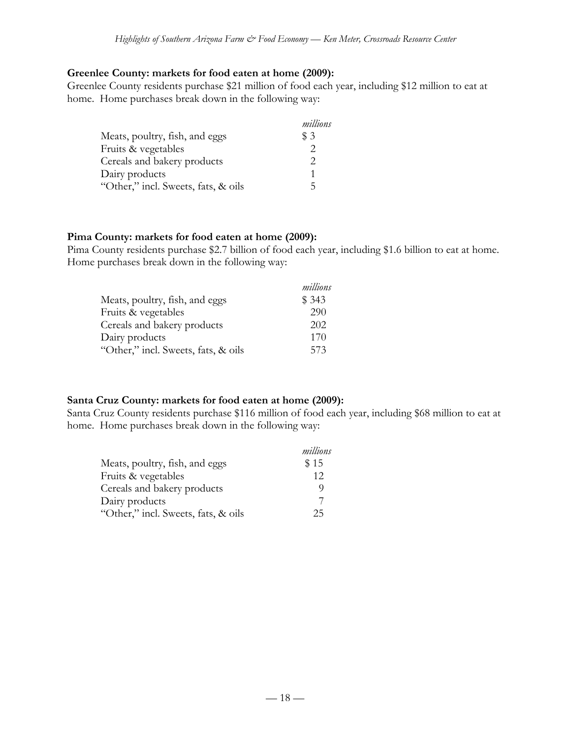#### **Greenlee County: markets for food eaten at home (2009):**

Greenlee County residents purchase \$21 million of food each year, including \$12 million to eat at home. Home purchases break down in the following way:

|                                     | millions |
|-------------------------------------|----------|
| Meats, poultry, fish, and eggs      | \$3      |
| Fruits & vegetables                 | 2        |
| Cereals and bakery products         | 2        |
| Dairy products                      |          |
| "Other," incl. Sweets, fats, & oils | 5        |

#### **Pima County: markets for food eaten at home (2009):**

Pima County residents purchase \$2.7 billion of food each year, including \$1.6 billion to eat at home. Home purchases break down in the following way:

|                                     | millions |
|-------------------------------------|----------|
| Meats, poultry, fish, and eggs      | \$343    |
| Fruits & vegetables                 | 290      |
| Cereals and bakery products         | 202      |
| Dairy products                      | 170      |
| "Other," incl. Sweets, fats, & oils | 573      |

#### **Santa Cruz County: markets for food eaten at home (2009):**

Santa Cruz County residents purchase \$116 million of food each year, including \$68 million to eat at home. Home purchases break down in the following way:

|                                     | millions |
|-------------------------------------|----------|
| Meats, poultry, fish, and eggs      | \$15     |
| Fruits & vegetables                 | 12       |
| Cereals and bakery products         |          |
| Dairy products                      |          |
| "Other," incl. Sweets, fats, & oils | 25       |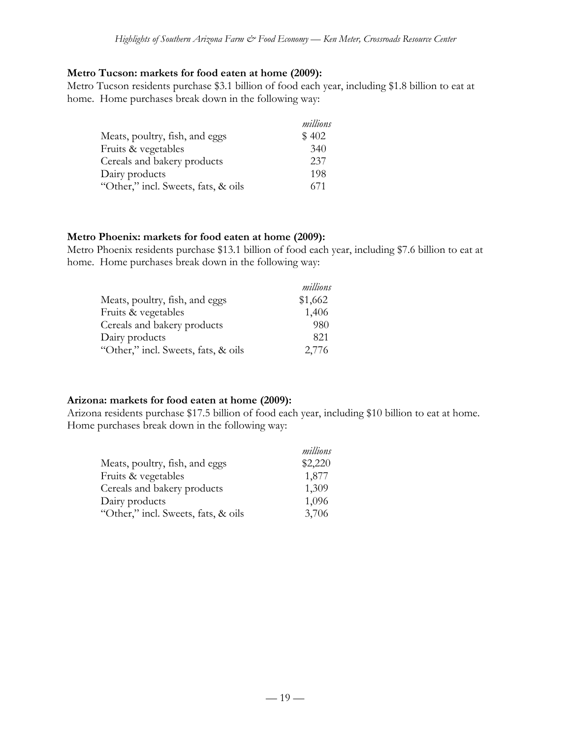#### **Metro Tucson: markets for food eaten at home (2009):**

Metro Tucson residents purchase \$3.1 billion of food each year, including \$1.8 billion to eat at home. Home purchases break down in the following way:

|                                     | millions |
|-------------------------------------|----------|
| Meats, poultry, fish, and eggs      | \$402    |
| Fruits & vegetables                 | 340      |
| Cereals and bakery products         | 237      |
| Dairy products                      | 198      |
| "Other," incl. Sweets, fats, & oils | 671      |

#### **Metro Phoenix: markets for food eaten at home (2009):**

Metro Phoenix residents purchase \$13.1 billion of food each year, including \$7.6 billion to eat at home. Home purchases break down in the following way:

|                                     | millions |
|-------------------------------------|----------|
| Meats, poultry, fish, and eggs      | \$1,662  |
| Fruits & vegetables                 | 1,406    |
| Cereals and bakery products         | 980      |
| Dairy products                      | 821      |
| "Other," incl. Sweets, fats, & oils | 2,776    |

#### **Arizona: markets for food eaten at home (2009):**

Arizona residents purchase \$17.5 billion of food each year, including \$10 billion to eat at home. Home purchases break down in the following way:

|                                     | millions |
|-------------------------------------|----------|
| Meats, poultry, fish, and eggs      | \$2,220  |
| Fruits & vegetables                 | 1,877    |
| Cereals and bakery products         | 1,309    |
| Dairy products                      | 1,096    |
| "Other," incl. Sweets, fats, & oils | 3,706    |